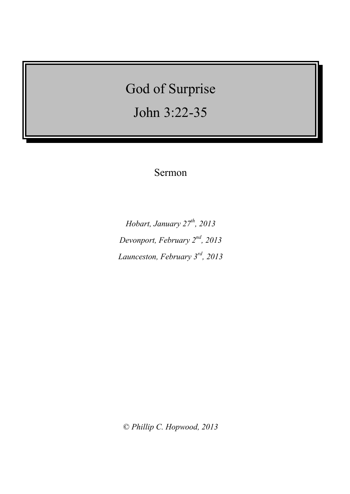# God of Surprise

John 3:22-35

# Sermon

*Hobart, January 27th , 2013 Devonport, February 2nd , 2013 Launceston, February 3rd, 2013*

© *Phillip C. Hopwood, 2013*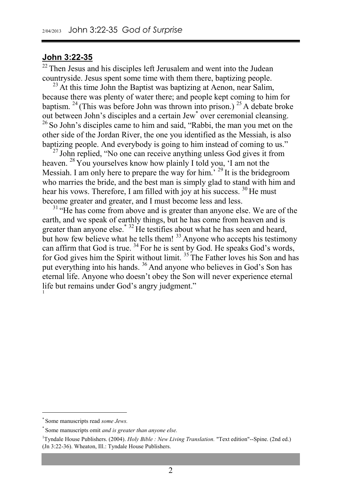#### **John 3:22-35**

 $22$  Then Jesus and his disciples left Jerusalem and went into the Judean countryside. Jesus spent some time with them there, baptizing people.

 $^{23}$  At this time John the Baptist was baptizing at Aenon, near Salim, because there was plenty of water there; and people kept coming to him for baptism. <sup>24</sup> (This was before John was thrown into prison.) <sup>25</sup> A debate broke out between John's disciples and a certain Jew\* over ceremonial cleansing. <sup>26</sup> So John's disciples came to him and said, "Rabbi, the man you met on the other side of the Jordan River, the one you identified as the Messiah, is also baptizing people. And everybody is going to him instead of coming to us."

 $^{27}$  John replied, "No one can receive anything unless God gives it from heaven. <sup>28</sup> You yourselves know how plainly I told you, 'I am not the Messiah. I am only here to prepare the way for him.<sup>' 29'</sup>It is the bridegroom who marries the bride, and the best man is simply glad to stand with him and hear his vows. Therefore, I am filled with joy at his success. <sup>30</sup> He must become greater and greater, and I must become less and less.

<sup>31</sup> "He has come from above and is greater than anyone else. We are of the earth, and we speak of earthly things, but he has come from heaven and is greater than anyone else.\* <sup>32</sup> He testifies about what he has seen and heard, but how few believe what he tells them! <sup>33</sup> Anyone who accepts his testimony can affirm that God is true. <sup>34</sup> For he is sent by God. He speaks God's words, for God gives him the Spirit without limit. <sup>35</sup> The Father loves his Son and has put everything into his hands. <sup>36</sup> And anyone who believes in God's Son has eternal life. Anyone who doesn't obey the Son will never experience eternal life but remains under God's angry judgment." 1

<sup>\*</sup> Some manuscripts read *some Jews.*

<sup>\*</sup> Some manuscripts omit *and is greater than anyone else.*

<sup>&</sup>lt;sup>1</sup>Tyndale House Publishers. (2004). *Holy Bible : New Living Translation*. "Text edition"--Spine. (2nd ed.) (Jn 3:22-36). Wheaton, Ill.: Tyndale House Publishers.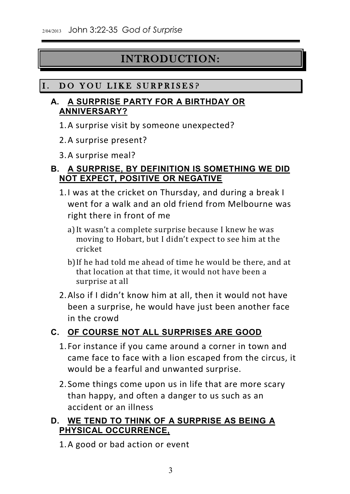# INTRODUCTION:

# I. DO YOU LIKE SURPRISES?

## **A. A SURPRISE PARTY FOR A BIRTHDAY OR ANNIVERSARY?**

- 1.A surprise visit by someone unexpected?
- 2.A surprise present?
- 3.A surprise meal?

# **B. A SURPRISE, BY DEFINITION IS SOMETHING WE DID NOT EXPECT, POSITIVE OR NEGATIVE**

- 1.I was at the cricket on Thursday, and during a break I went for a walk and an old friend from Melbourne was right there in front of me
	- a)It wasn't a complete surprise because I knew he was moving to Hobart, but I didn't expect to see him at the cricket
	- b)If he had told me ahead of time he would be there, and at that location at that time, it would not have been a surprise at all
- 2.Also if I didn't know him at all, then it would not have been a surprise, he would have just been another face in the crowd

# **C. OF COURSE NOT ALL SURPRISES ARE GOOD**

- 1. For instance if you came around a corner in town and came face to face with a lion escaped from the circus, it would be a fearful and unwanted surprise.
- 2. Some things come upon us in life that are more scary than happy, and often a danger to us such as an accident or an illness

# **D. WE TEND TO THINK OF A SURPRISE AS BEING A PHYSICAL OCCURRENCE,**

1.A good or bad action or event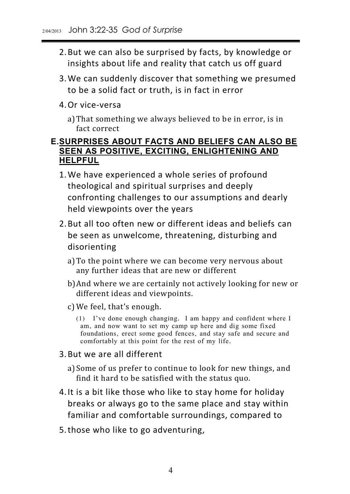- 2.But we can also be surprised by facts, by knowledge or insights about life and reality that catch us off guard
- 3.We can suddenly discover that something we presumed to be a solid fact or truth, is in fact in error
- 4.Or vice-versa
	- a)That something we always believed to be in error, is in fact correct

#### **E.SURPRISES ABOUT FACTS AND BELIEFS CAN ALSO BE SEEN AS POSITIVE, EXCITING, ENLIGHTENING AND HELPFUL**

- 1.We have experienced a whole series of profound theological and spiritual surprises and deeply confronting challenges to our assumptions and dearly held viewpoints over the years
- 2.But all too often new or different ideas and beliefs can be seen as unwelcome, threatening, disturbing and disorienting
	- a)To the point where we can become very nervous about any further ideas that are new or different
	- b)And where we are certainly not actively looking for new or different ideas and viewpoints.
	- c) We feel, that's enough.
		- (1) I've done enough changing. I am happy and confident where I foundations, erect some good fences, and stay safe and secure and  $\frac{1}{2}$  comfortably at this noint for the rest of my life component for the rest of my life.

#### 3.But we are all different

- a)Some of us prefer to continue to look for new things, and find it hard to be satisfied with the status quo.
- 4.It is a bit like those who like to stay home for holiday breaks or always go to the same place and stay within familiar and comfortable surroundings, compared to
- 5.those who like to go adventuring,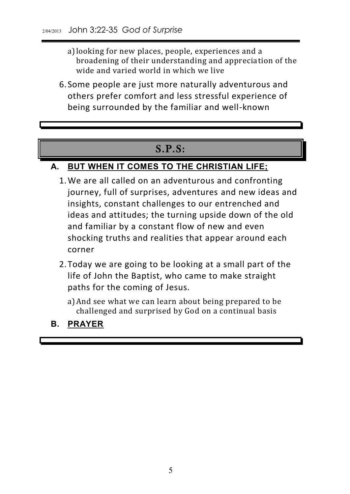- a)looking for new places, people, experiences and a broadening of their understanding and appreciation of the wide and varied world in which we live
- 6. Some people are just more naturally adventurous and others prefer comfort and less stressful experience of being surrounded by the familiar and well-known

# S.P.S:

# **A. BUT WHEN IT COMES TO THE CHRISTIAN LIFE;**

- 1.We are all called on an adventurous and confronting journey, full of surprises, adventures and new ideas and insights, constant challenges to our entrenched and ideas and attitudes; the turning upside down of the old and familiar by a constant flow of new and even shocking truths and realities that appear around each corner
- 2.Today we are going to be looking at a small part of the life of John the Baptist, who came to make straight paths for the coming of Jesus.
	- a)And see what we can learn about being prepared to be challenged and surprised by God on a continual basis

# **B. PRAYER**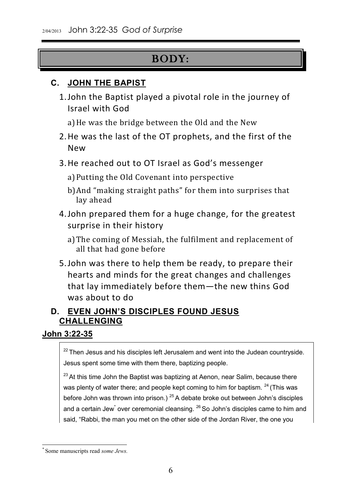# BODY:

# **C. JOHN THE BAPIST**

1.John the Baptist played a pivotal role in the journey of Israel with God

a)He was the bridge between the Old and the New

- 2.He was the last of the OT prophets, and the first of the New
- 3.He reached out to OT Israel as God's messenger
	- a)Putting the Old Covenant into perspective
	- b)And "making straight paths" for them into surprises that lay ahead
- 4.John prepared them for a huge change, for the greatest surprise in their history
	- a)The coming of Messiah, the fulfilment and replacement of all that had gone before
- 5.John was there to help them be ready, to prepare their hearts and minds for the great changes and challenges that lay immediately before them—the new thins God was about to do

# **D. EVEN JOHN'S DISCIPLES FOUND JESUS CHALLENGING**

#### **John 3:22-35**

 $22$  Then Jesus and his disciples left Jerusalem and went into the Judean countryside. Jesus spent some time with them there, baptizing people.

 $23$  At this time John the Baptist was baptizing at Aenon, near Salim, because there was plenty of water there; and people kept coming to him for baptism.  $24$  (This was before John was thrown into prison.)  $25$  A debate broke out between John's disciples and a certain Jew<sup>\*</sup> over ceremonial cleansing.  $^{26}$  So John's disciples came to him and said, "Rabbi, the man you met on the other side of the Jordan River, the one you

<sup>\*</sup> Some manuscripts read *some Jews.*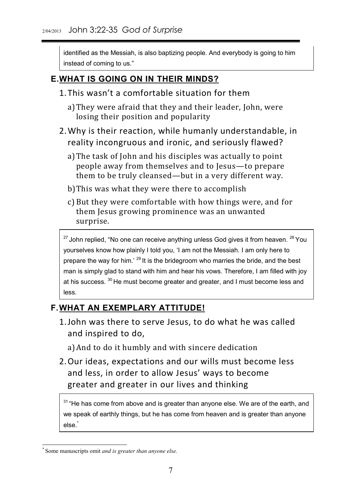identified as the Messiah, is also baptizing people. And everybody is going to him instead of coming to us."

# **E.WHAT IS GOING ON IN THEIR MINDS?**

- 1.This wasn't a comfortable situation for them
	- a)They were afraid that they and their leader, John, were losing their position and popularity
- 2.Why is their reaction, while humanly understandable, in reality incongruous and ironic, and seriously flawed?
	- a)The task of John and his disciples was actually to point people away from themselves and to Jesus—to prepare them to be truly cleansed—but in a very different way.
	- b)This was what they were there to accomplish
	- c) But they were comfortable with how things were, and for them Jesus growing prominence was an unwanted surprise.

 $27$  John replied, "No one can receive anything unless God gives it from heaven.  $28$  You yourselves know how plainly I told you, 'I am not the Messiah. I am only here to prepare the way for him.<sup>' 29</sup> It is the bridegroom who marries the bride, and the best man is simply glad to stand with him and hear his vows. Therefore, I am filled with joy at his success. <sup>30</sup> He must become greater and greater, and I must become less and less.

# **F.WHAT AN EXEMPLARY ATTITUDE!**

1.John was there to serve Jesus, to do what he was called and inspired to do,

a)And to do it humbly and with sincere dedication

2.Our ideas, expectations and our wills must become less and less, in order to allow Jesus' ways to become greater and greater in our lives and thinking

<sup>31</sup> "He has come from above and is greater than anyone else. We are of the earth, and we speak of earthly things, but he has come from heaven and is greater than anyone else.

<sup>\*</sup> Some manuscripts omit *and is greater than anyone else.*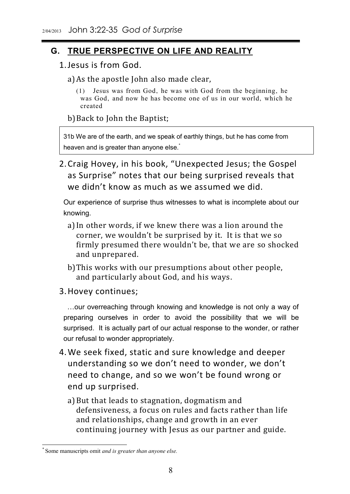# **G. TRUE PERSPECTIVE ON LIFE AND REALITY**

- 1.Jesus is from God.
	- a)As the apostle John also made clear,
		- $\frac{1}{2}$  was God, and now he has become one of us in our world, which he  $\alpha$  and  $\alpha$  and  $\alpha$  in our world, which he has been one of us in  $\alpha$  in  $\alpha$  in  $\alpha$  in  $\alpha$

b)Back to John the Baptist;

31b We are of the earth, and we speak of earthly things, but he has come from heaven and is greater than anyone else.<sup>\*</sup>

2.Craig Hovey, in his book, "Unexpected Jesus; the Gospel as Surprise" notes that our being surprised reveals that we didn't know as much as we assumed we did.

Our experience of surprise thus witnesses to what is incomplete about our knowing.

- a)In other words, if we knew there was a lion around the corner, we wouldn't be surprised by it. It is that we so firmly presumed there wouldn't be, that we are so shocked and unprepared.
- b)This works with our presumptions about other people, and particularly about God, and his ways.
- 3.Hovey continues;

 …our overreaching through knowing and knowledge is not only a way of preparing ourselves in order to avoid the possibility that we will be surprised. It is actually part of our actual response to the wonder, or rather our refusal to wonder appropriately.

- 4.We seek fixed, static and sure knowledge and deeper understanding so we don't need to wonder, we don't need to change, and so we won't be found wrong or end up surprised.
	- a)But that leads to stagnation, dogmatism and defensiveness, a focus on rules and facts rather than life and relationships, change and growth in an ever continuing journey with Jesus as our partner and guide.

<sup>\*</sup> Some manuscripts omit *and is greater than anyone else.*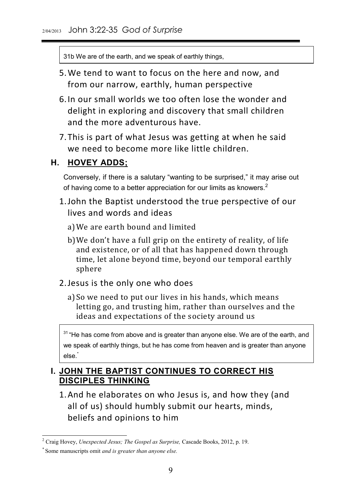31b We are of the earth, and we speak of earthly things,

- 5.We tend to want to focus on the here and now, and from our narrow, earthly, human perspective
- 6.In our small worlds we too often lose the wonder and delight in exploring and discovery that small children and the more adventurous have.
- 7.This is part of what Jesus was getting at when he said we need to become more like little children.

#### **H. HOVEY ADDS;**

Conversely, if there is a salutary "wanting to be surprised," it may arise out of having come to a better appreciation for our limits as knowers.<sup>2</sup>

- 1.John the Baptist understood the true perspective of our lives and words and ideas
	- a)We are earth bound and limited
	- b)We don't have a full grip on the entirety of reality, of life and existence, or of all that has happened down through time, let alone beyond time, beyond our temporal earthly sphere
- 2.Jesus is the only one who does
	- a)So we need to put our lives in his hands, which means letting go, and trusting him, rather than ourselves and the ideas and expectations of the society around us

 $31$  "He has come from above and is greater than anyone else. We are of the earth, and we speak of earthly things, but he has come from heaven and is greater than anyone else.\*

# **I. JOHN THE BAPTIST CONTINUES TO CORRECT HIS DISCIPLES THINKING**

1.And he elaborates on who Jesus is, and how they (and all of us) should humbly submit our hearts, minds, beliefs and opinions to him

1

<sup>2</sup> Craig Hovey, *Unexpected Jesus; The Gospel as Surprise,* Cascade Books, 2012, p. 19.

<sup>\*</sup> Some manuscripts omit *and is greater than anyone else.*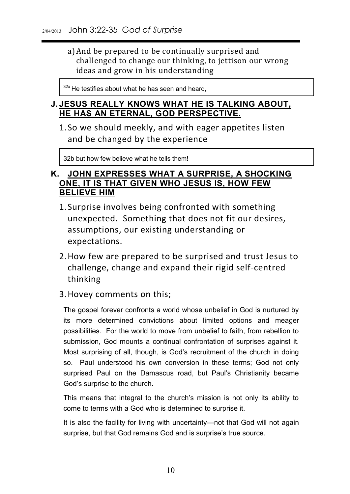a)And be prepared to be continually surprised and challenged to change our thinking, to jettison our wrong ideas and grow in his understanding

<sup>32a</sup> He testifies about what he has seen and heard,

#### **J. JESUS REALLY KNOWS WHAT HE IS TALKING ABOUT, HE HAS AN ETERNAL, GOD PERSPECTIVE.**

1. So we should meekly, and with eager appetites listen and be changed by the experience

32b but how few believe what he tells them!

#### **K. JOHN EXPRESSES WHAT A SURPRISE, A SHOCKING ONE, IT IS THAT GIVEN WHO JESUS IS, HOW FEW BELIEVE HIM**

- 1. Surprise involves being confronted with something unexpected. Something that does not fit our desires, assumptions, our existing understanding or expectations.
- 2.How few are prepared to be surprised and trust Jesus to challenge, change and expand their rigid self-centred thinking
- 3.Hovey comments on this;

The gospel forever confronts a world whose unbelief in God is nurtured by its more determined convictions about limited options and meager possibilities. For the world to move from unbelief to faith, from rebellion to submission, God mounts a continual confrontation of surprises against it. Most surprising of all, though, is God's recruitment of the church in doing so. Paul understood his own conversion in these terms; God not only surprised Paul on the Damascus road, but Paul's Christianity became God's surprise to the church.

This means that integral to the church's mission is not only its ability to come to terms with a God who is determined to surprise it.

It is also the facility for living with uncertainty—not that God will not again surprise, but that God remains God and is surprise's true source.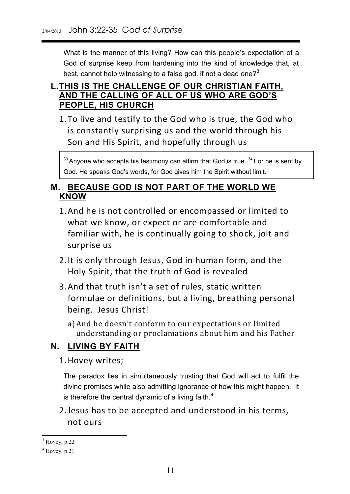What is the manner of this living? How can this people's expectation of a God of surprise keep from hardening into the kind of knowledge that, at best, cannot help witnessing to a false god, if not a dead one? $3^3$ 

## **L.THIS IS THE CHALLENGE OF OUR CHRISTIAN FAITH, AND THE CALLING OF ALL OF US WHO ARE GOD'S PEOPLE, HIS CHURCH**

1.To live and testify to the God who is true, the God who is constantly surprising us and the world through his Son and His Spirit, and hopefully through us

 $33$  Anyone who accepts his testimony can affirm that God is true.  $34$  For he is sent by God. He speaks God's words, for God gives him the Spirit without limit.

#### **M. BECAUSE GOD IS NOT PART OF THE WORLD WE KNOW**

- 1.And he is not controlled or encompassed or limited to what we know, or expect or are comfortable and familiar with, he is continually going to shock, jolt and surprise us
- 2.It is only through Jesus, God in human form, and the Holy Spirit, that the truth of God is revealed
- 3.And that truth isn't a set of rules, static written formulae or definitions, but a living, breathing personal being. Jesus Christ!
	- a)And he doesn't conform to our expectations or limited understanding or proclamations about him and his Father

# **N. LIVING BY FAITH**

1.Hovey writes;

The paradox lies in simultaneously trusting that God will act to fulfil the divine promises while also admitting ignorance of how this might happen. It is therefore the central dynamic of a living faith. $4$ 

2.Jesus has to be accepted and understood in his terms, not ours

<sup>1</sup>  $3$  Hovey, p.22

 $<sup>4</sup>$  Hovey, p.21</sup>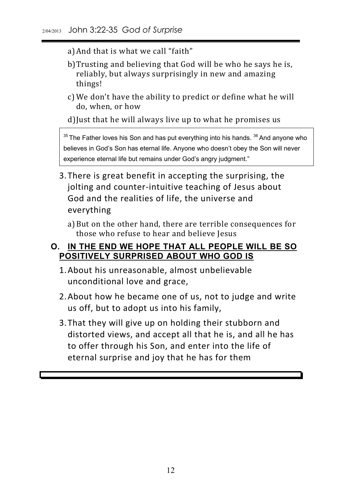- a)And that is what we call "faith"
- b)Trusting and believing that God will be who he says he is, reliably, but always surprisingly in new and amazing things!
- c) We don't have the ability to predict or define what he will do, when, or how
- d)Just that he will always live up to what he promises us

 $35$  The Father loves his Son and has put everything into his hands.  $36$  And anyone who believes in God's Son has eternal life. Anyone who doesn't obey the Son will never experience eternal life but remains under God's angry judgment."

- 3.There is great benefit in accepting the surprising, the jolting and counter-intuitive teaching of Jesus about God and the realities of life, the universe and everything
	- a)But on the other hand, there are terrible consequences for those who refuse to hear and believe Jesus

#### **O. IN THE END WE HOPE THAT ALL PEOPLE WILL BE SO POSITIVELY SURPRISED ABOUT WHO GOD IS**

- 1.About his unreasonable, almost unbelievable unconditional love and grace,
- 2.About how he became one of us, not to judge and write us off, but to adopt us into his family,
- 3.That they will give up on holding their stubborn and distorted views, and accept all that he is, and all he has to offer through his Son, and enter into the life of eternal surprise and joy that he has for them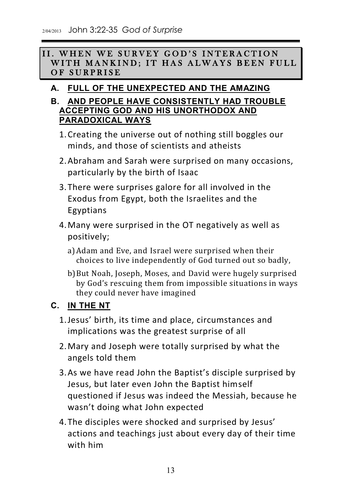II. WHEN WE SURVEY GOD'S INTERACTION WITH MANKIND; IT HAS ALWAYS BEEN FULL OF SURPRISE

# **A. FULL OF THE UNEXPECTED AND THE AMAZING**

## **B. AND PEOPLE HAVE CONSISTENTLY HAD TROUBLE ACCEPTING GOD AND HIS UNORTHODOX AND PARADOXICAL WAYS**

- 1.Creating the universe out of nothing still boggles our minds, and those of scientists and atheists
- 2.Abraham and Sarah were surprised on many occasions, particularly by the birth of Isaac
- 3.There were surprises galore for all involved in the Exodus from Egypt, both the Israelites and the Egyptians
- 4.Many were surprised in the OT negatively as well as positively;
	- a)Adam and Eve, and Israel were surprised when their choices to live independently of God turned out so badly,
	- b)But Noah, Joseph, Moses, and David were hugely surprised by God's rescuing them from impossible situations in ways they could never have imagined

# **C. IN THE NT**

- 1.Jesus' birth, its time and place, circumstances and implications was the greatest surprise of all
- 2.Mary and Joseph were totally surprised by what the angels told them
- 3.As we have read John the Baptist's disciple surprised by Jesus, but later even John the Baptist himself questioned if Jesus was indeed the Messiah, because he wasn't doing what John expected
- 4.The disciples were shocked and surprised by Jesus' actions and teachings just about every day of their time with him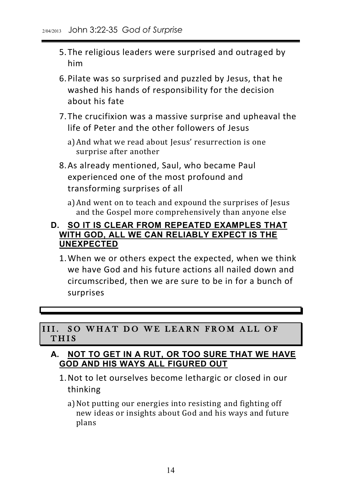- 5.The religious leaders were surprised and outraged by him
- 6.Pilate was so surprised and puzzled by Jesus, that he washed his hands of responsibility for the decision about his fate
- 7.The crucifixion was a massive surprise and upheaval the life of Peter and the other followers of Jesus
	- a)And what we read about Jesus' resurrection is one surprise after another
- 8.As already mentioned, Saul, who became Paul experienced one of the most profound and transforming surprises of all
	- a)And went on to teach and expound the surprises of Jesus and the Gospel more comprehensively than anyone else

#### **D. SO IT IS CLEAR FROM REPEATED EXAMPLES THAT WITH GOD, ALL WE CAN RELIABLY EXPECT IS THE UNEXPECTED**

1.When we or others expect the expected, when we think we have God and his future actions all nailed down and circumscribed, then we are sure to be in for a bunch of surprises

#### III. SO WHAT DO WE LEARN FROM ALL OF THIS

#### **A. NOT TO GET IN A RUT, OR TOO SURE THAT WE HAVE GOD AND HIS WAYS ALL FIGURED OUT**

- 1.Not to let ourselves become lethargic or closed in our thinking
	- a)Not putting our energies into resisting and fighting off new ideas or insights about God and his ways and future plans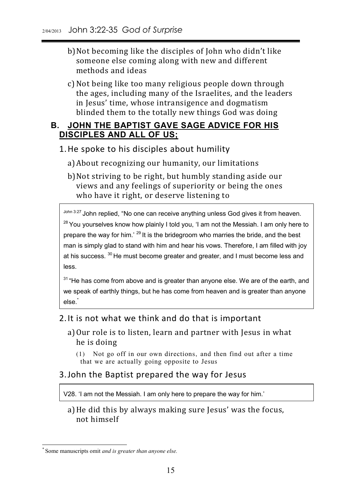- b)Not becoming like the disciples of John who didn't like someone else coming along with new and different methods and ideas
- c)Not being like too many religious people down through the ages, including many of the Israelites, and the leaders in Jesus' time, whose intransigence and dogmatism blinded them to the totally new things God was doing

## **B. JOHN THE BAPTIST GAVE SAGE ADVICE FOR HIS DISCIPLES AND ALL OF US;**

1.He spoke to his disciples about humility

- a)About recognizing our humanity, our limitations
- b)Not striving to be right, but humbly standing aside our views and any feelings of superiority or being the ones who have it right, or deserve listening to

John 3:27 John replied, "No one can receive anything unless God gives it from heaven.  $28$  You yourselves know how plainly I told you, 'I am not the Messiah. I am only here to prepare the way for him.' <sup>29</sup> It is the bridegroom who marries the bride, and the best man is simply glad to stand with him and hear his vows. Therefore, I am filled with joy at his success. <sup>30</sup> He must become greater and greater, and I must become less and less.

 $31$  "He has come from above and is greater than anyone else. We are of the earth, and we speak of earthly things, but he has come from heaven and is greater than anyone else.<sup>\*</sup>

#### 2.It is not what we think and do that is important

- a)Our role is to listen, learn and partner with Jesus in what he is doing
	- $\frac{1}{\pi}$  that we are actually going opposite to Jesus  $\frac{1}{2}$  and  $\frac{1}{2}$  going opposite to  $\frac{1}{2}$

#### 3.John the Baptist prepared the way for Jesus

V28. 'I am not the Messiah. I am only here to prepare the way for him.'

a)He did this by always making sure Jesus' was the focus, not himself

<sup>\*</sup> Some manuscripts omit *and is greater than anyone else.*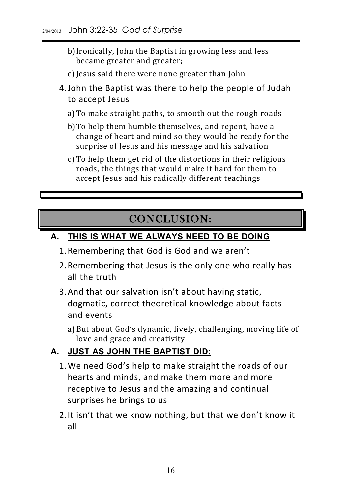- b)Ironically, John the Baptist in growing less and less became greater and greater;
- c) Jesus said there were none greater than John
- 4.John the Baptist was there to help the people of Judah to accept Jesus
	- a)To make straight paths, to smooth out the rough roads
	- b)To help them humble themselves, and repent, have a change of heart and mind so they would be ready for the surprise of Jesus and his message and his salvation
	- c) To help them get rid of the distortions in their religious roads, the things that would make it hard for them to accept Jesus and his radically different teachings

# CONCLUSION:

## **A. THIS IS WHAT WE ALWAYS NEED TO BE DOING**

- 1.Remembering that God is God and we aren't
- 2.Remembering that Jesus is the only one who really has all the truth
- 3.And that our salvation isn't about having static, dogmatic, correct theoretical knowledge about facts and events
	- a)But about God's dynamic, lively, challenging, moving life of love and grace and creativity

## **A. JUST AS JOHN THE BAPTIST DID;**

- 1.We need God's help to make straight the roads of our hearts and minds, and make them more and more receptive to Jesus and the amazing and continual surprises he brings to us
- 2.It isn't that we know nothing, but that we don't know it all